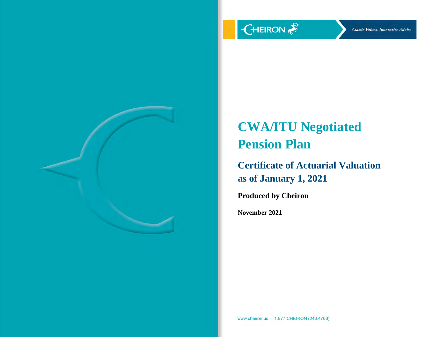

# **CWA/ITU Negotiated Pension Plan**

**Certificate of Actuarial Valuation as of January 1, 2021**

**Produced by Cheiron**

**November 2021**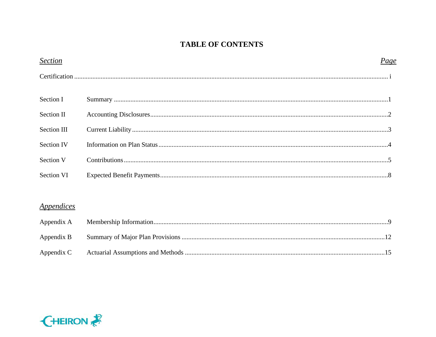# **TABLE OF CONTENTS**

| <b>Section</b>                  | Page |
|---------------------------------|------|
|                                 |      |
| Section I                       |      |
| Section II                      |      |
| Section III                     |      |
| <b>Section IV</b>               |      |
| Section V                       |      |
| Section VI                      |      |
| <i><u><b>Appendices</b></u></i> |      |
| Appendix A                      |      |
| Appendix B                      |      |
| Appendix C                      |      |

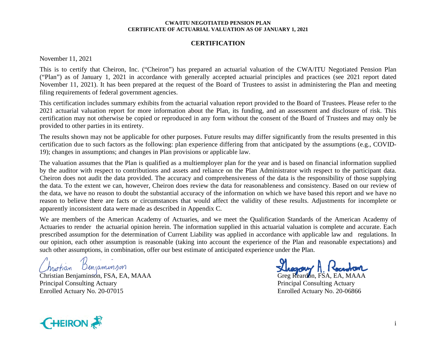#### **CERTIFICATION**

November 11, 2021

This is to certify that Cheiron, Inc. ("Cheiron") has prepared an actuarial valuation of the CWA/ITU Negotiated Pension Plan ("Plan") as of January 1, 2021 in accordance with generally accepted actuarial principles and practices (see 2021 report dated November 11, 2021). It has been prepared at the request of the Board of Trustees to assist in administering the Plan and meeting filing requirements of federal government agencies.

This certification includes summary exhibits from the actuarial valuation report provided to the Board of Trustees. Please refer to the 2021 actuarial valuation report for more information about the Plan, its funding, and an assessment and disclosure of risk. This certification may not otherwise be copied or reproduced in any form without the consent of the Board of Trustees and may only be provided to other parties in its entirety.

The results shown may not be applicable for other purposes. Future results may differ significantly from the results presented in this certification due to such factors as the following: plan experience differing from that anticipated by the assumptions (e.g., COVID-19); changes in assumptions; and changes in Plan provisions or applicable law.

The valuation assumes that the Plan is qualified as a multiemployer plan for the year and is based on financial information supplied by the auditor with respect to contributions and assets and reliance on the Plan Administrator with respect to the participant data. Cheiron does not audit the data provided. The accuracy and comprehensiveness of the data is the responsibility of those supplying the data. To the extent we can, however, Cheiron does review the data for reasonableness and consistency. Based on our review of the data, we have no reason to doubt the substantial accuracy of the information on which we have based this report and we have no reason to believe there are facts or circumstances that would affect the validity of these results. Adjustments for incomplete or apparently inconsistent data were made as described in Appendix C.

We are members of the American Academy of Actuaries, and we meet the Qualification Standards of the American Academy of Actuaries to render the actuarial opinion herein. The information supplied in this actuarial valuation is complete and accurate. Each prescribed assumption for the determination of Current Liability was applied in accordance with applicable law and regulations. In our opinion, each other assumption is reasonable (taking into account the experience of the Plan and reasonable expectations) and such other assumptions, in combination, offer our best estimate of anticipated experience under the Plan.

Denjaminson howtian

Christian Benjaminson, FSA, EA, MAAA Greg Reardon, FSA, EA, MAAA Principal Consulting Actuary **Principal Consulting Actuary** Principal Consulting Actuary Enrolled Actuary No. 20-07015 Enrolled Actuary No. 20-06866

Thegory A

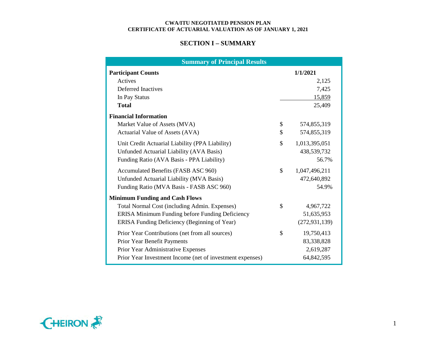## **SECTION I – SUMMARY**

| <b>Summary of Principal Results</b>                       |               |                 |
|-----------------------------------------------------------|---------------|-----------------|
| <b>Participant Counts</b>                                 |               | 1/1/2021        |
| Actives                                                   |               | 2,125           |
| <b>Deferred Inactives</b>                                 |               | 7,425           |
| In Pay Status                                             |               | 15,859          |
| <b>Total</b>                                              |               | 25,409          |
| <b>Financial Information</b>                              |               |                 |
| Market Value of Assets (MVA)                              | \$            | 574,855,319     |
| Actuarial Value of Assets (AVA)                           | \$            | 574,855,319     |
| Unit Credit Actuarial Liability (PPA Liability)           | \$            | 1,013,395,051   |
| Unfunded Actuarial Liability (AVA Basis)                  |               | 438,539,732     |
| Funding Ratio (AVA Basis - PPA Liability)                 |               | 56.7%           |
| Accumulated Benefits (FASB ASC 960)                       | $\mathcal{S}$ | 1,047,496,211   |
| Unfunded Actuarial Liability (MVA Basis)                  |               | 472,640,892     |
| Funding Ratio (MVA Basis - FASB ASC 960)                  |               | 54.9%           |
| <b>Minimum Funding and Cash Flows</b>                     |               |                 |
| Total Normal Cost (including Admin. Expenses)             | \$            | 4,967,722       |
| ERISA Minimum Funding before Funding Deficiency           |               | 51,635,953      |
| ERISA Funding Deficiency (Beginning of Year)              |               | (272, 931, 139) |
| Prior Year Contributions (net from all sources)           | \$            | 19,750,413      |
| Prior Year Benefit Payments                               |               | 83,338,828      |
| Prior Year Administrative Expenses                        |               | 2,619,287       |
| Prior Year Investment Income (net of investment expenses) |               | 64,842,595      |

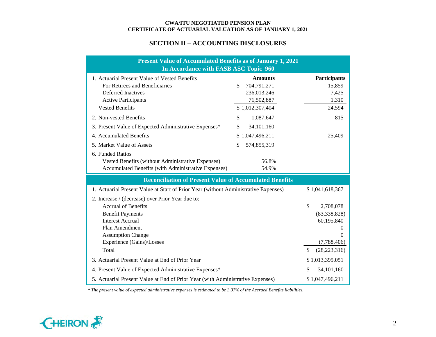## **SECTION II – ACCOUNTING DISCLOSURES**

| <b>Present Value of Accumulated Benefits as of January 1, 2021</b><br>In Accordance with FASB ASC Topic 960                                                                                                              |                                                                  |                                                                                                                      |  |  |  |  |  |  |  |  |  |
|--------------------------------------------------------------------------------------------------------------------------------------------------------------------------------------------------------------------------|------------------------------------------------------------------|----------------------------------------------------------------------------------------------------------------------|--|--|--|--|--|--|--|--|--|
| 1. Actuarial Present Value of Vested Benefits<br>For Retirees and Beneficiaries<br><b>Deferred Inactives</b><br><b>Active Participants</b>                                                                               | <b>Amounts</b><br>704,791,271<br>\$<br>236,013,246<br>71,502,887 | Participants<br>15,859<br>7,425<br>1,310                                                                             |  |  |  |  |  |  |  |  |  |
| <b>Vested Benefits</b>                                                                                                                                                                                                   | \$1,012,307,404                                                  | 24,594                                                                                                               |  |  |  |  |  |  |  |  |  |
| 2. Non-vested Benefits                                                                                                                                                                                                   | 1,087,647<br>\$                                                  | 815                                                                                                                  |  |  |  |  |  |  |  |  |  |
| 3. Present Value of Expected Administrative Expenses*                                                                                                                                                                    | \$<br>34,101,160                                                 |                                                                                                                      |  |  |  |  |  |  |  |  |  |
| 4. Accumulated Benefits                                                                                                                                                                                                  | \$1,047,496,211                                                  | 25,409                                                                                                               |  |  |  |  |  |  |  |  |  |
| 5. Market Value of Assets                                                                                                                                                                                                | \$<br>574,855,319                                                |                                                                                                                      |  |  |  |  |  |  |  |  |  |
| 6. Funded Ratios<br>Vested Benefits (without Administrative Expenses)<br>Accumulated Benefits (with Administrative Expenses)                                                                                             | 56.8%<br>54.9%                                                   |                                                                                                                      |  |  |  |  |  |  |  |  |  |
| <b>Reconciliation of Present Value of Accumulated Benefits</b>                                                                                                                                                           |                                                                  |                                                                                                                      |  |  |  |  |  |  |  |  |  |
| 1. Actuarial Present Value at Start of Prior Year (without Administrative Expenses)                                                                                                                                      |                                                                  | \$1,041,618,367                                                                                                      |  |  |  |  |  |  |  |  |  |
| 2. Increase / (decrease) over Prior Year due to:<br><b>Accrual of Benefits</b><br><b>Benefit Payments</b><br><b>Interest Accrual</b><br>Plan Amendment<br><b>Assumption Change</b><br>Experience (Gains)/Losses<br>Total |                                                                  | \$<br>2,708,078<br>(83, 338, 828)<br>60,195,840<br>$\overline{0}$<br>$\Omega$<br>(7,788,406)<br>(28, 223, 316)<br>\$ |  |  |  |  |  |  |  |  |  |
| 3. Actuarial Present Value at End of Prior Year                                                                                                                                                                          |                                                                  | \$1,013,395,051                                                                                                      |  |  |  |  |  |  |  |  |  |
| 4. Present Value of Expected Administrative Expenses*                                                                                                                                                                    |                                                                  | 34,101,160<br>\$                                                                                                     |  |  |  |  |  |  |  |  |  |
| 5. Actuarial Present Value at End of Prior Year (with Administrative Expenses)                                                                                                                                           |                                                                  | \$1,047,496,211                                                                                                      |  |  |  |  |  |  |  |  |  |

*\* The present value of expected administrative expenses is estimated to be 3.37% of the Accrued Benefits liabilities.*

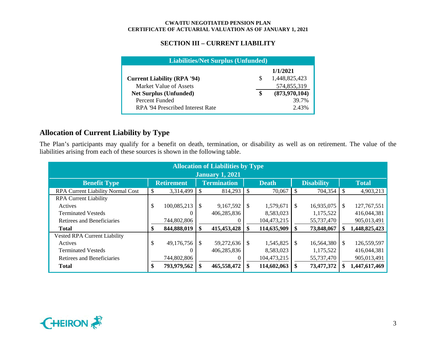## **SECTION III – CURRENT LIABILITY**

| <b>Liabilities/Net Surplus (Unfunded)</b> |   |               |  |  |  |  |  |  |  |  |
|-------------------------------------------|---|---------------|--|--|--|--|--|--|--|--|
|                                           |   | 1/1/2021      |  |  |  |  |  |  |  |  |
| <b>Current Liability (RPA '94)</b>        | S | 1,448,825,423 |  |  |  |  |  |  |  |  |
| Market Value of Assets                    |   | 574,855,319   |  |  |  |  |  |  |  |  |
| <b>Net Surplus (Unfunded)</b>             |   | (873,970,104) |  |  |  |  |  |  |  |  |
| Percent Funded                            |   | 39.7%         |  |  |  |  |  |  |  |  |
| RPA '94 Prescribed Interest Rate          |   | 2.43%         |  |  |  |  |  |  |  |  |

## **Allocation of Current Liability by Type**

The Plan's participants may qualify for a benefit on death, termination, or disability as well as on retirement. The value of the liabilities arising from each of these sources is shown in the following table.

| <b>Allocation of Liabilities by Type</b><br><b>January 1, 2021</b> |    |                   |      |                                    |               |             |                   |            |          |               |  |  |  |  |
|--------------------------------------------------------------------|----|-------------------|------|------------------------------------|---------------|-------------|-------------------|------------|----------|---------------|--|--|--|--|
| <b>Benefit Type</b>                                                |    | <b>Retirement</b> |      | <b>Termination</b><br><b>Death</b> |               |             | <b>Disability</b> |            |          | <b>Total</b>  |  |  |  |  |
| <b>RPA Current Liability Normal Cost</b>                           | S  | 3,314,499         | -S   | 814,293                            | $\mathcal{S}$ | 70,067      | l \$              | 704,354    | <b>S</b> | 4,903,213     |  |  |  |  |
| <b>RPA Current Liability</b>                                       |    |                   |      |                                    |               |             |                   |            |          |               |  |  |  |  |
| Actives                                                            | \$ | 100,085,213       | -S   | 9,167,592                          | S             | 1,579,671   | - S               | 16,935,075 | \$.      | 127, 767, 551 |  |  |  |  |
| <b>Terminated Vesteds</b>                                          |    |                   |      | 406,285,836                        |               | 8,583,023   |                   | 1,175,522  |          | 416,044,381   |  |  |  |  |
| Retirees and Beneficiaries                                         |    | 744,802,806       |      |                                    |               | 104,473,215 |                   | 55,737,470 |          | 905,013,491   |  |  |  |  |
| <b>Total</b>                                                       | \$ | 844,888,019       | - \$ | 415,453,428                        | -8            | 114,635,909 |                   | 73,848,067 |          | 1,448,825,423 |  |  |  |  |
| <b>Vested RPA Current Liability</b>                                |    |                   |      |                                    |               |             |                   |            |          |               |  |  |  |  |
| Actives                                                            | \$ | 49,176,756        | -S   | 59,272,636                         | <sup>\$</sup> | 1,545,825   |                   | 16,564,380 | \$.      | 126,559,597   |  |  |  |  |
| <b>Terminated Vesteds</b>                                          |    |                   |      | 406,285,836                        |               | 8,583,023   |                   | 1,175,522  |          | 416,044,381   |  |  |  |  |
| Retirees and Beneficiaries                                         |    | 744,802,806       |      |                                    |               | 104,473,215 |                   | 55,737,470 |          | 905,013,491   |  |  |  |  |
| <b>Total</b>                                                       | \$ | 793,979,562       | \$.  | 465,558,472                        | S             | 114,602,063 |                   | 73,477,372 |          | 1,447,617,469 |  |  |  |  |

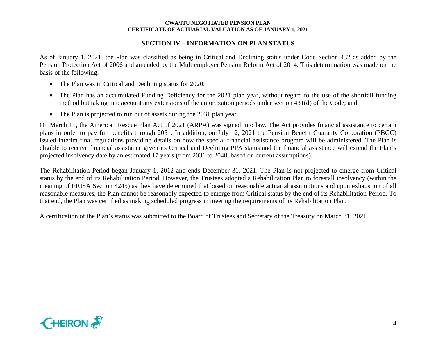## **SECTION IV – INFORMATION ON PLAN STATUS**

As of January 1, 2021, the Plan was classified as being in Critical and Declining status under Code Section 432 as added by the Pension Protection Act of 2006 and amended by the Multiemployer Pension Reform Act of 2014. This determination was made on the basis of the following:

- The Plan was in Critical and Declining status for 2020;
- The Plan has an accumulated Funding Deficiency for the 2021 plan year, without regard to the use of the shortfall funding method but taking into account any extensions of the amortization periods under section 431(d) of the Code; and
- The Plan is projected to run out of assets during the 2031 plan year.

On March 11, the American Rescue Plan Act of 2021 (ARPA) was signed into law. The Act provides financial assistance to certain plans in order to pay full benefits through 2051. In addition, on July 12, 2021 the Pension Benefit Guaranty Corporation (PBGC) issued interim final regulations providing details on how the special financial assistance program will be administered. The Plan is eligible to receive financial assistance given its Critical and Declining PPA status and the financial assistance will extend the Plan's projected insolvency date by an estimated 17 years (from 2031 to 2048, based on current assumptions).

The Rehabilitation Period began January 1, 2012 and ends December 31, 2021. The Plan is not projected to emerge from Critical status by the end of its Rehabilitation Period. However, the Trustees adopted a Rehabilitation Plan to forestall insolvency (within the meaning of ERISA Section 4245) as they have determined that based on reasonable actuarial assumptions and upon exhaustion of all reasonable measures, the Plan cannot be reasonably expected to emerge from Critical status by the end of its Rehabilitation Period. To that end, the Plan was certified as making scheduled progress in meeting the requirements of its Rehabilitation Plan.

A certification of the Plan's status was submitted to the Board of Trustees and Secretary of the Treasury on March 31, 2021.

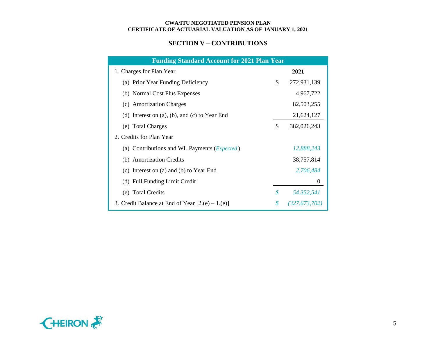## **SECTION V – CONTRIBUTIONS**

| <b>Funding Standard Account for 2021 Plan Year</b>    |                            |               |
|-------------------------------------------------------|----------------------------|---------------|
| 1. Charges for Plan Year                              |                            | 2021          |
| (a) Prior Year Funding Deficiency                     | \$                         | 272,931,139   |
| (b) Normal Cost Plus Expenses                         |                            | 4,967,722     |
| (c) Amortization Charges                              |                            | 82,503,255    |
| (d) Interest on $(a)$ , $(b)$ , and $(c)$ to Year End |                            | 21,624,127    |
| (e) Total Charges                                     | \$                         | 382,026,243   |
| 2. Credits for Plan Year                              |                            |               |
| (a) Contributions and WL Payments ( <i>Expected</i> ) |                            | 12,888,243    |
| (b) Amortization Credits                              |                            | 38,757,814    |
| (c) Interest on (a) and (b) to Year End               |                            | 2,706,484     |
| (d) Full Funding Limit Credit                         |                            | $\theta$      |
| (e) Total Credits                                     | $\boldsymbol{\mathcal{S}}$ | 54,352,541    |
| 3. Credit Balance at End of Year $[2(e) - 1(e)]$      | \$                         | (327,673,702) |

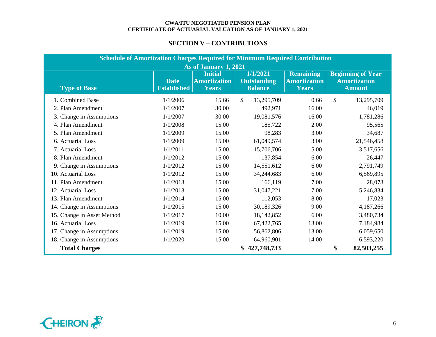## **SECTION V – CONTRIBUTIONS**

| <b>Schedule of Amortization Charges Required for Minimum Required Contribution</b> |                                   |                                                       |                                                  |                                                  |    |                                                                  |  |  |  |  |  |
|------------------------------------------------------------------------------------|-----------------------------------|-------------------------------------------------------|--------------------------------------------------|--------------------------------------------------|----|------------------------------------------------------------------|--|--|--|--|--|
|                                                                                    |                                   | As of January 1, 2021                                 |                                                  |                                                  |    |                                                                  |  |  |  |  |  |
| <b>Type of Base</b>                                                                | <b>Date</b><br><b>Established</b> | <b>Initial</b><br><b>Amortization</b><br><b>Years</b> | 1/1/2021<br><b>Outstanding</b><br><b>Balance</b> | <b>Remaining</b><br><b>Amortization</b><br>Years |    | <b>Beginning of Year</b><br><b>Amortization</b><br><b>Amount</b> |  |  |  |  |  |
| 1. Combined Base                                                                   | 1/1/2006                          | 15.66                                                 | \$<br>13,295,709                                 | 0.66                                             | \$ | 13,295,709                                                       |  |  |  |  |  |
| 2. Plan Amendment                                                                  | 1/1/2007                          | 30.00                                                 | 492,971                                          | 16.00                                            |    | 46,019                                                           |  |  |  |  |  |
| 3. Change in Assumptions                                                           | 1/1/2007                          | 30.00                                                 | 19,081,576                                       | 16.00                                            |    | 1,781,286                                                        |  |  |  |  |  |
| 4. Plan Amendment                                                                  | 1/1/2008                          | 15.00                                                 | 185,722                                          | 2.00                                             |    | 95,565                                                           |  |  |  |  |  |
| 5. Plan Amendment                                                                  | 1/1/2009                          | 15.00                                                 | 98,283                                           | 3.00                                             |    | 34,687                                                           |  |  |  |  |  |
| 6. Actuarial Loss                                                                  | 1/1/2009                          | 15.00                                                 | 61,049,574                                       | 3.00                                             |    | 21,546,458                                                       |  |  |  |  |  |
| 7. Actuarial Loss                                                                  | 1/1/2011                          | 15.00                                                 | 15,706,706                                       | 5.00                                             |    | 3,517,656                                                        |  |  |  |  |  |
| 8. Plan Amendment                                                                  | 1/1/2012                          | 15.00                                                 | 137,854                                          | 6.00                                             |    | 26,447                                                           |  |  |  |  |  |
| 9. Change in Assumptions                                                           | 1/1/2012                          | 15.00                                                 | 14,551,612                                       | 6.00                                             |    | 2,791,749                                                        |  |  |  |  |  |
| 10. Actuarial Loss                                                                 | 1/1/2012                          | 15.00                                                 | 34,244,683                                       | 6.00                                             |    | 6,569,895                                                        |  |  |  |  |  |
| 11. Plan Amendment                                                                 | 1/1/2013                          | 15.00                                                 | 166,119                                          | 7.00                                             |    | 28,073                                                           |  |  |  |  |  |
| 12. Actuarial Loss                                                                 | 1/1/2013                          | 15.00                                                 | 31,047,221                                       | 7.00                                             |    | 5,246,834                                                        |  |  |  |  |  |
| 13. Plan Amendment                                                                 | 1/1/2014                          | 15.00                                                 | 112,053                                          | 8.00                                             |    | 17,023                                                           |  |  |  |  |  |
| 14. Change in Assumptions                                                          | 1/1/2015                          | 15.00                                                 | 30,189,326                                       | 9.00                                             |    | 4,187,266                                                        |  |  |  |  |  |
| 15. Change in Asset Method                                                         | 1/1/2017                          | 10.00                                                 | 18,142,852                                       | 6.00                                             |    | 3,480,734                                                        |  |  |  |  |  |
| 16. Actuarial Loss                                                                 | 1/1/2019                          | 15.00                                                 | 67,422,765                                       | 13.00                                            |    | 7,184,984                                                        |  |  |  |  |  |
| 17. Change in Assumptions                                                          | 1/1/2019                          | 15.00                                                 | 56,862,806                                       | 13.00                                            |    | 6,059,650                                                        |  |  |  |  |  |
| 18. Change in Assumptions                                                          | 1/1/2020                          | 15.00                                                 | 64,960,901                                       | 14.00                                            |    | 6,593,220                                                        |  |  |  |  |  |
| <b>Total Charges</b>                                                               |                                   |                                                       | 427,748,733                                      |                                                  | \$ | 82,503,255                                                       |  |  |  |  |  |

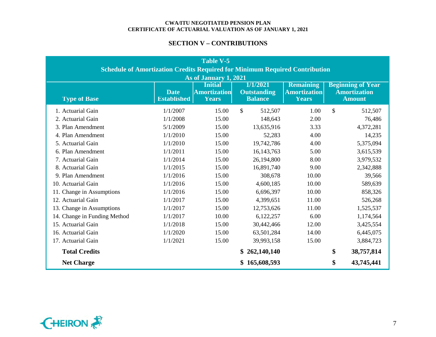## **SECTION V – CONTRIBUTIONS**

| Table V-5<br><b>Schedule of Amortization Credits Required for Minimum Required Contribution</b>                                                                                                                                                                                                                        |          |       |               |       |               |            |  |  |  |  |  |  |
|------------------------------------------------------------------------------------------------------------------------------------------------------------------------------------------------------------------------------------------------------------------------------------------------------------------------|----------|-------|---------------|-------|---------------|------------|--|--|--|--|--|--|
| As of January 1, 2021<br>1/1/2021<br><b>Remaining</b><br><b>Beginning of Year</b><br><b>Initial</b><br><b>Amortization</b><br><b>Amortization</b><br><b>Amortization</b><br><b>Date</b><br><b>Outstanding</b><br><b>Type of Base</b><br><b>Established</b><br><b>Balance</b><br><b>Amount</b><br><b>Years</b><br>Years |          |       |               |       |               |            |  |  |  |  |  |  |
| 1. Actuarial Gain                                                                                                                                                                                                                                                                                                      | 1/1/2007 | 15.00 | \$<br>512,507 | 1.00  | $\mathbf{\$}$ | 512,507    |  |  |  |  |  |  |
| 2. Actuarial Gain                                                                                                                                                                                                                                                                                                      | 1/1/2008 | 15.00 | 148,643       | 2.00  |               | 76,486     |  |  |  |  |  |  |
| 3. Plan Amendment                                                                                                                                                                                                                                                                                                      | 5/1/2009 | 15.00 | 13,635,916    | 3.33  |               | 4,372,281  |  |  |  |  |  |  |
| 4. Plan Amendment                                                                                                                                                                                                                                                                                                      | 1/1/2010 | 15.00 | 52,283        | 4.00  |               | 14,235     |  |  |  |  |  |  |
| 5. Actuarial Gain                                                                                                                                                                                                                                                                                                      | 1/1/2010 | 15.00 | 19,742,786    | 4.00  |               | 5,375,094  |  |  |  |  |  |  |
| 6. Plan Amendment                                                                                                                                                                                                                                                                                                      | 1/1/2011 | 15.00 | 16, 143, 763  | 5.00  |               | 3,615,539  |  |  |  |  |  |  |
| 7. Actuarial Gain                                                                                                                                                                                                                                                                                                      | 1/1/2014 | 15.00 | 26,194,800    | 8.00  |               | 3,979,532  |  |  |  |  |  |  |
| 8. Actuarial Gain                                                                                                                                                                                                                                                                                                      | 1/1/2015 | 15.00 | 16,891,740    | 9.00  |               | 2,342,888  |  |  |  |  |  |  |
| 9. Plan Amendment                                                                                                                                                                                                                                                                                                      | 1/1/2016 | 15.00 | 308,678       | 10.00 |               | 39,566     |  |  |  |  |  |  |
| 10. Actuarial Gain                                                                                                                                                                                                                                                                                                     | 1/1/2016 | 15.00 | 4,600,185     | 10.00 |               | 589,639    |  |  |  |  |  |  |
| 11. Change in Assumptions                                                                                                                                                                                                                                                                                              | 1/1/2016 | 15.00 | 6,696,397     | 10.00 |               | 858,326    |  |  |  |  |  |  |
| 12. Actuarial Gain                                                                                                                                                                                                                                                                                                     | 1/1/2017 | 15.00 | 4,399,651     | 11.00 |               | 526,268    |  |  |  |  |  |  |
| 13. Change in Assumptions                                                                                                                                                                                                                                                                                              | 1/1/2017 | 15.00 | 12,753,626    | 11.00 |               | 1,525,537  |  |  |  |  |  |  |
| 14. Change in Funding Method                                                                                                                                                                                                                                                                                           | 1/1/2017 | 10.00 | 6,122,257     | 6.00  |               | 1,174,564  |  |  |  |  |  |  |
| 15. Actuarial Gain                                                                                                                                                                                                                                                                                                     | 1/1/2018 | 15.00 | 30,442,466    | 12.00 |               | 3,425,554  |  |  |  |  |  |  |
| 16. Actuarial Gain                                                                                                                                                                                                                                                                                                     | 1/1/2020 | 15.00 | 63,501,284    | 14.00 |               | 6,445,075  |  |  |  |  |  |  |
| 17. Actuarial Gain                                                                                                                                                                                                                                                                                                     | 1/1/2021 | 15.00 | 39,993,158    | 15.00 |               | 3,884,723  |  |  |  |  |  |  |
| <b>Total Credits</b>                                                                                                                                                                                                                                                                                                   |          |       | 262,140,140   |       | \$            | 38,757,814 |  |  |  |  |  |  |
| <b>Net Charge</b>                                                                                                                                                                                                                                                                                                      |          |       | 165,608,593   |       | \$            | 43,745,441 |  |  |  |  |  |  |

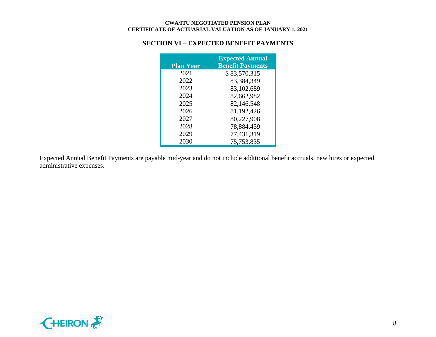## **SECTION VI – EXPECTED BENEFIT PAYMENTS**

| <b>Plan Year</b> | <b>Expected Annual</b><br><b>Benefit Payments</b> |
|------------------|---------------------------------------------------|
| 2021             | \$83,570,315                                      |
| 2022             | 83,384,349                                        |
| 2023             | 83,102,689                                        |
| 2024             | 82,662,982                                        |
| 2025             | 82,146,548                                        |
| 2026             | 81,192,426                                        |
| 2027             | 80,227,908                                        |
| 2028             | 78,884,459                                        |
| 2029             | 77,431,319                                        |
| 2030             | 75,753,835                                        |

Expected Annual Benefit Payments are payable mid-year and do not include additional benefit accruals, new hires or expected administrative expenses.

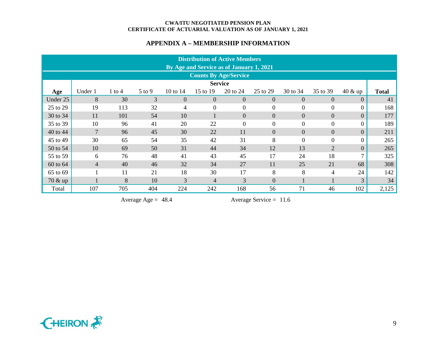## **APPENDIX A – MEMBERSHIP INFORMATION**

|                              | <b>Distribution of Active Members</b><br>By Age and Service as of January 1, 2021 |            |            |                |                |                |                |                |                |                  |              |  |  |  |  |
|------------------------------|-----------------------------------------------------------------------------------|------------|------------|----------------|----------------|----------------|----------------|----------------|----------------|------------------|--------------|--|--|--|--|
| <b>Counts By Age/Service</b> |                                                                                   |            |            |                |                |                |                |                |                |                  |              |  |  |  |  |
|                              | <b>Service</b>                                                                    |            |            |                |                |                |                |                |                |                  |              |  |  |  |  |
| Age                          | Under 1                                                                           | $1$ to $4$ | $5$ to $9$ | 10 to $14$     | 15 to 19       | 20 to 24       | 25 to 29       | 30 to 34       | 35 to 39       | $40 \& up$       | <b>Total</b> |  |  |  |  |
| Under 25                     | 8                                                                                 | 30         | 3          | $\overline{0}$ | $\theta$       | $\Omega$       | $\Omega$       | $\Omega$       | $\Omega$       | $\overline{0}$   | 41           |  |  |  |  |
| 25 to 29                     | 19                                                                                | 113        | 32         | 4              | $\theta$       | $\overline{0}$ | $\Omega$       | $\overline{0}$ | $\overline{0}$ | $\Omega$         | 168          |  |  |  |  |
| 30 to 34                     | 11                                                                                | 101        | 54         | 10             |                | $\overline{0}$ | $\overline{0}$ | $\overline{0}$ | $\overline{0}$ | $\Omega$         | 177          |  |  |  |  |
| 35 to 39                     | 10                                                                                | 96         | 41         | 20             | 22             | $\overline{0}$ | $\Omega$       | $\Omega$       | $\overline{0}$ | $\theta$         | 189          |  |  |  |  |
| 40 to 44                     | $\overline{7}$                                                                    | 96         | 45         | 30             | 22             | 11             | $\theta$       | $\overline{0}$ | $\overline{0}$ | $\boldsymbol{0}$ | 211          |  |  |  |  |
| 45 to 49                     | 30                                                                                | 65         | 54         | 35             | 42             | 31             | 8              | $\overline{0}$ | $\overline{0}$ | $\theta$         | 265          |  |  |  |  |
| 50 to 54                     | 10                                                                                | 69         | 50         | 31             | 44             | 34             | 12             | 13             | $\overline{2}$ | $\Omega$         | 265          |  |  |  |  |
| 55 to 59                     | 6                                                                                 | 76         | 48         | 41             | 43             | 45             | 17             | 24             | 18             |                  | 325          |  |  |  |  |
| 60 to 64                     | $\overline{4}$                                                                    | 40         | 46         | 32             | 34             | 27             | 11             | 25             | 21             | 68               | 308          |  |  |  |  |
| 65 to 69                     |                                                                                   | 11         | 21         | 18             | 30             | 17             | 8              | 8              | 4              | 24               | 142          |  |  |  |  |
| $70 \& up$                   |                                                                                   | 8          | 10         | $\overline{3}$ | $\overline{4}$ | 3              | $\overline{0}$ |                |                | 3                | 34           |  |  |  |  |
| Total                        | 107                                                                               | 705        | 404        | 224            | 242            | 168            | 56             | 71             | 46             | 102              | 2,125        |  |  |  |  |

Average Age = 48.4 Average Service = 11.6

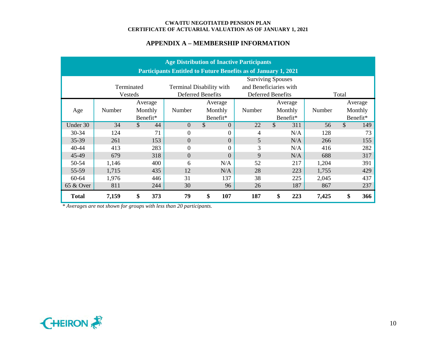## **APPENDIX A – MEMBERSHIP INFORMATION**

|                                                                  | <b>Age Distribution of Inactive Participants</b>                      |                     |                |                          |        |                   |        |                      |  |  |  |  |  |  |  |
|------------------------------------------------------------------|-----------------------------------------------------------------------|---------------------|----------------|--------------------------|--------|-------------------|--------|----------------------|--|--|--|--|--|--|--|
|                                                                  | <b>Participants Entitled to Future Benefits as of January 1, 2021</b> |                     |                |                          |        |                   |        |                      |  |  |  |  |  |  |  |
|                                                                  | <b>Surviving Spouses</b>                                              |                     |                |                          |        |                   |        |                      |  |  |  |  |  |  |  |
| and Beneficiaries with<br>Terminated<br>Terminal Disability with |                                                                       |                     |                |                          |        |                   |        |                      |  |  |  |  |  |  |  |
|                                                                  |                                                                       | Vesteds             |                | <b>Deferred Benefits</b> |        | Deferred Benefits |        | Total                |  |  |  |  |  |  |  |
|                                                                  |                                                                       | Average             |                | Average                  |        | Average           |        | Average              |  |  |  |  |  |  |  |
| Age                                                              | Number                                                                | Monthly             | Number         | Monthly                  | Number | Monthly           | Number | Monthly              |  |  |  |  |  |  |  |
|                                                                  |                                                                       | Benefit*            |                | Benefit*                 |        | Benefit*          |        | Benefit*             |  |  |  |  |  |  |  |
| Under 30                                                         | 34                                                                    | $\mathcal{S}$<br>44 | $\overline{0}$ | \$<br>$\overline{0}$     | 22     | \$<br>311         | 56     | $\mathcal{S}$<br>149 |  |  |  |  |  |  |  |
| 30-34                                                            | 124                                                                   | 71                  | $\overline{0}$ | 0                        | 4      | N/A               | 128    | 73                   |  |  |  |  |  |  |  |
| 35-39                                                            | 261                                                                   | 153                 | $\overline{0}$ | $\overline{0}$           | 5      | N/A               | 266    | 155                  |  |  |  |  |  |  |  |
| 40-44                                                            | 413                                                                   | 283                 | $\overline{0}$ | 0                        | 3      | N/A               | 416    | 282                  |  |  |  |  |  |  |  |
| 45-49                                                            | 679                                                                   | 318                 | $\overline{0}$ | $\overline{0}$           | 9      | N/A               | 688    | 317                  |  |  |  |  |  |  |  |
| 50-54                                                            | 1,146                                                                 | 400                 | 6              | N/A                      | 52     | 217               | 1,204  | 391                  |  |  |  |  |  |  |  |
| 55-59                                                            | 1,715                                                                 | 435                 | 12             | N/A                      | 28     | 223               | 1,755  | 429                  |  |  |  |  |  |  |  |
| 60-64                                                            | 1,976                                                                 | 446                 | 31             | 137                      | 38     | 225               | 2,045  | 437                  |  |  |  |  |  |  |  |
| 65 & Over                                                        | 811                                                                   | 244                 | 30             | 96                       | 26     | 187               | 867    | 237                  |  |  |  |  |  |  |  |
| <b>Total</b>                                                     | 7,159                                                                 | \$<br>373           | 79             | \$<br>107                | 187    | \$<br>223         | 7,425  | \$<br>366            |  |  |  |  |  |  |  |

*\* Averages are not shown for groups with less than 20 participants.*

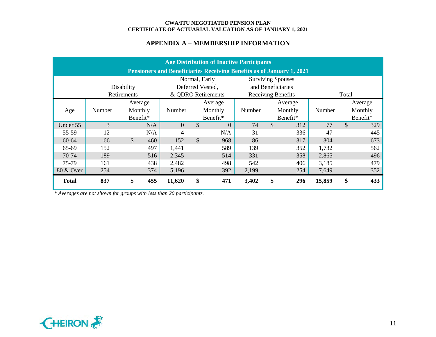## **APPENDIX A – MEMBERSHIP INFORMATION**

|              | <b>Age Distribution of Inactive Participants</b>                      |             |     |                |               |                    |        |                    |         |        |               |          |  |  |
|--------------|-----------------------------------------------------------------------|-------------|-----|----------------|---------------|--------------------|--------|--------------------|---------|--------|---------------|----------|--|--|
|              | Pensioners and Beneficiaries Receiving Benefits as of January 1, 2021 |             |     |                |               |                    |        |                    |         |        |               |          |  |  |
|              | <b>Surviving Spouses</b><br>Normal, Early                             |             |     |                |               |                    |        |                    |         |        |               |          |  |  |
|              |                                                                       | Disability  |     |                |               | Deferred Vested,   |        | and Beneficiaries  |         |        |               |          |  |  |
|              |                                                                       | Retirements |     |                |               | & QDRO Retirements |        | Receiving Benefits |         |        | Total         |          |  |  |
|              |                                                                       | Average     |     |                |               | Average            |        |                    | Average |        |               | Average  |  |  |
| Age          | Number                                                                | Monthly     |     | Number         |               | Monthly            | Number | Monthly            |         | Number |               | Monthly  |  |  |
|              |                                                                       | Benefit*    |     |                |               | Benefit*           |        | Benefit*           |         |        |               | Benefit* |  |  |
| Under 55     | 3                                                                     |             | N/A | $\overline{0}$ | $\mathcal{S}$ | $\Omega$           | 74     | $\mathcal{S}$      | 312     | 77     | $\mathcal{S}$ | 329      |  |  |
| 55-59        | 12                                                                    |             | N/A | 4              |               | N/A                | 31     |                    | 336     | 47     |               | 445      |  |  |
| 60-64        | 66                                                                    | \$          | 460 | 152            | $\mathcal{S}$ | 968                | 86     |                    | 317     | 304    |               | 673      |  |  |
| 65-69        | 152                                                                   |             | 497 | 1,441          |               | 589                | 139    |                    | 352     | 1,732  |               | 562      |  |  |
| 70-74        | 189                                                                   |             | 516 | 2,345          |               | 514                | 331    |                    | 358     | 2,865  |               | 496      |  |  |
| 75-79        | 161                                                                   |             | 438 | 2,482          |               | 498                | 542    |                    | 406     | 3,185  |               | 479      |  |  |
| 80 & Over    | 254                                                                   |             | 374 | 5,196          | 392           |                    |        |                    | 254     | 7,649  |               | 352      |  |  |
| <b>Total</b> | 837                                                                   | \$          | 455 | 11,620         | \$            | 471                | 3,402  | \$                 | 296     | 15,859 | \$            | 433      |  |  |

*\* Averages are not shown for groups with less than 20 participants.*

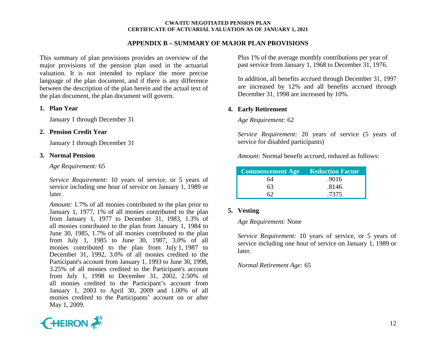### **APPENDIX B – SUMMARY OF MAJOR PLAN PROVISIONS**

This summary of plan provisions provides an overview of the major provisions of the pension plan used in the actuarial valuation. It is not intended to replace the more precise language of the plan document, and if there is any difference between the description of the plan herein and the actual text of the plan document, the plan document will govern.

#### **1. Plan Year**

January 1 through December 31

#### **2. Pension Credit Year**

January 1 through December 31

#### **3. Normal Pension**

*Age Requirement:* 65

*Service Requirement:* 10 years of service, or 5 years of service including one hour of service on January 1, 1989 or later.

*Amount:* 1.7% of all monies contributed to the plan prior to January 1, 1977, 1% of all monies contributed to the plan from January 1, 1977 to December 31, 1983, 1.3% of all monies contributed to the plan from January 1, 1984 to June 30, 1985, 1.7% of all monies contributed to the plan from July 1, 1985 to June 30, 1987, 3.0% of all monies contributed to the plan from July 1, 1987 to December 31, 1992, 3.0% of all monies credited to the Participant's account from January 1, 1993 to June 30, 1998, 3.25% of all monies credited to the Participant's account from July 1, 1998 to December 31, 2002, 2.50% of all monies credited to the Participant's account from January 1, 2003 to April 30, 2009 and 1.00% of all monies credited to the Participants' account on or after May 1, 2009.

Plus 1% of the average monthly contributions per year of past service from January 1, 1968 to December 31, 1976.

In addition, all benefits accrued through December 31, 1997 are increased by 12% and all benefits accrued through December 31, 1998 are increased by 10%.

## **4. Early Retirement**

*Age Requirement:* 62

*Service Requirement:* 20 years of service (5 years of service for disabled participants)

*Amount:* Normal benefit accrued, reduced as follows:

| <b>Commencement Age Reduction Factor</b> |       |
|------------------------------------------|-------|
| 64                                       | .9016 |
| 63                                       | .8146 |
|                                          | .7375 |

## **5. Vesting**

#### *Age Requirement:* None

*Service Requirement:* 10 years of service, or 5 years of service including one hour of service on January 1, 1989 or later.

## *Normal Retirement Age:* 65

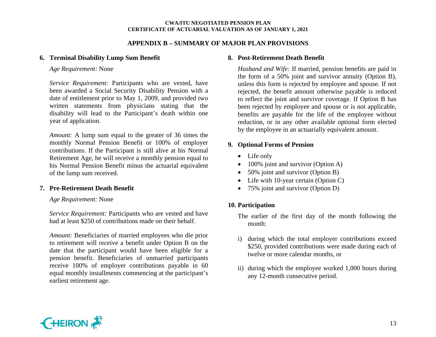### **APPENDIX B – SUMMARY OF MAJOR PLAN PROVISIONS**

#### **6. Terminal Disability Lump Sum Benefit**

*Age Requirement:* None

*Service Requirement:* Participants who are vested, have been awarded a Social Security Disability Pension with a date of entitlement prior to May 1, 2009, and provided two written statements from physicians stating that the disability will lead to the Participant's death within one year of application.

*Amount:* A lump sum equal to the greater of 36 times the monthly Normal Pension Benefit or 100% of employer contributions. If the Participant is still alive at his Normal Retirement Age, he will receive a monthly pension equal to his Normal Pension Benefit minus the actuarial equivalent of the lump sum received.

## **7. Pre-Retirement Death Benefit**

#### *Age Requirement:* None

*Service Requirement:* Participants who are vested and have had at least \$250 of contributions made on their behalf.

*Amount:* Beneficiaries of married employees who die prior to retirement will receive a benefit under Option B on the date that the participant would have been eligible for a pension benefit. Beneficiaries of unmarried participants receive 100% of employer contributions payable in 60 equal monthly installments commencing at the participant's earliest retirement age.

## **8. Post-Retirement Death Benefit**

*Husband and Wife:* If married, pension benefits are paid in the form of a 50% joint and survivor annuity (Option B), unless this form is rejected by employee and spouse. If not rejected, the benefit amount otherwise payable is reduced to reflect the joint and survivor coverage. If Option B has been rejected by employee and spouse or is not applicable, benefits are payable for the life of the employee without reduction, or in any other available optional form elected by the employee in an actuarially equivalent amount.

## **9. Optional Forms of Pension**

- Life only
- 100% joint and survivor (Option A)
- 50% joint and survivor (Option B)
- Life with 10-year certain (Option C)
- 75% joint and survivor (Option D)

## **10. Participation**

The earlier of the first day of the month following the month:

- i) during which the total employer contributions exceed \$250, provided contributions were made during each of twelve or more calendar months, or
- ii) during which the employee worked 1,000 hours during any 12-month consecutive period.

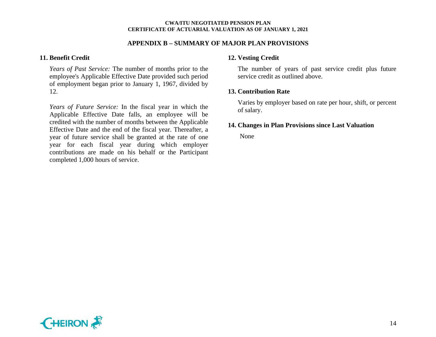#### **APPENDIX B – SUMMARY OF MAJOR PLAN PROVISIONS**

#### **11. Benefit Credit**

*Years of Past Service:* The number of months prior to the employee's Applicable Effective Date provided such period of employment began prior to January 1, 1967, divided by 12.

*Years of Future Service:* In the fiscal year in which the Applicable Effective Date falls, an employee will be credited with the number of months between the Applicable Effective Date and the end of the fiscal year. Thereafter, a year of future service shall be granted at the rate of one year for each fiscal year during which employer contributions are made on his behalf or the Participant completed 1,000 hours of service.

## **12. Vesting Credit**

The number of years of past service credit plus future service credit as outlined above.

### **13. Contribution Rate**

Varies by employer based on rate per hour, shift, or percent of salary.

#### **14. Changes in Plan Provisions since Last Valuation**

None

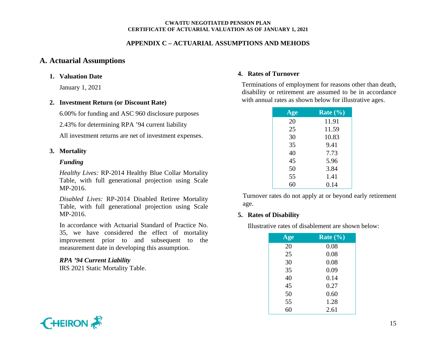## **APPENDIX C – ACTUARIAL ASSUMPTIONS AND MEHODS**

## **A. Actuarial Assumptions**

#### **1. Valuation Date**

January 1, 2021

#### **2. Investment Return (or Discount Rate)**

6.00% for funding and ASC 960 disclosure purposes

2.43% for determining RPA '94 current liability

All investment returns are net of investment expenses.

#### **3. Mortality**

#### *Funding*

*Healthy Lives:* RP-2014 Healthy Blue Collar Mortality Table, with full generational projection using Scale MP-2016.

*Disabled Lives:* RP-2014 Disabled Retiree Mortality Table, with full generational projection using Scale MP-2016.

In accordance with Actuarial Standard of Practice No. 35, we have considered the effect of mortality improvement prior to and subsequent to the measurement date in developing this assumption.

## *RPA '94 Current Liability*

IRS 2021 Static Mortality Table.

#### **4. Rates of Turnover**

Terminations of employment for reasons other than death, disability or retirement are assumed to be in accordance with annual rates as shown below for illustrative ages.

| Age | Rate $(\% )$ |
|-----|--------------|
| 20  | 11.91        |
| 25  | 11.59        |
| 30  | 10.83        |
| 35  | 9.41         |
| 40  | 7.73         |
| 45  | 5.96         |
| 50  | 3.84         |
| 55  | 1.41         |
|     | 0.14         |

Turnover rates do not apply at or beyond early retirement age.

## **5. Rates of Disability**

Illustrative rates of disablement are shown below:

| Age | Rate $\left(\frac{0}{0}\right)$ |
|-----|---------------------------------|
| 20  | 0.08                            |
| 25  | 0.08                            |
| 30  | 0.08                            |
| 35  | 0.09                            |
| 40  | 0.14                            |
| 45  | 0.27                            |
| 50  | 0.60                            |
| 55  | 1.28                            |
| 60  | 2.61                            |

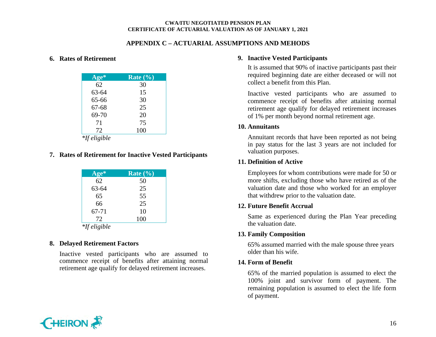## **APPENDIX C – ACTUARIAL ASSUMPTIONS AND MEHODS**

#### **6. Rates of Retirement**

| Age*                | Rate $(\% )$ |
|---------------------|--------------|
| 62                  | 30           |
| 63-64               | 15           |
| 65-66               | 30           |
| $67 - 68$           | 25           |
| 69-70               | 20           |
| 71                  | 75           |
| 72                  | 100          |
| <i>*If eligible</i> |              |

# **7. Rates of Retirement for Inactive Vested Participants**

| Age*      | Rate $(\% )$ |
|-----------|--------------|
| 62        | 50           |
| 63-64     | 25           |
| 65        | 55           |
| 66        | 25           |
| $67 - 71$ | 10           |
| 72        | 100          |
| +10 1. 11 |              |

#### *\*If eligible*

#### **8. Delayed Retirement Factors**

Inactive vested participants who are assumed to commence receipt of benefits after attaining normal retirement age qualify for delayed retirement increases.

## **9. Inactive Vested Participants**

It is assumed that 90% of inactive participants past their required beginning date are either deceased or will not collect a benefit from this Plan.

Inactive vested participants who are assumed to commence receipt of benefits after attaining normal retirement age qualify for delayed retirement increases of 1% per month beyond normal retirement age.

#### **10. Annuitants**

Annuitant records that have been reported as not being in pay status for the last 3 years are not included for valuation purposes.

## **11. Definition of Active**

Employees for whom contributions were made for 50 or more shifts, excluding those who have retired as of the valuation date and those who worked for an employer that withdrew prior to the valuation date.

## **12. Future Benefit Accrual**

Same as experienced during the Plan Year preceding the valuation date.

## **13. Family Composition**

65% assumed married with the male spouse three years older than his wife.

## **14. Form of Benefit**

65% of the married population is assumed to elect the 100% joint and survivor form of payment. The remaining population is assumed to elect the life form of payment.

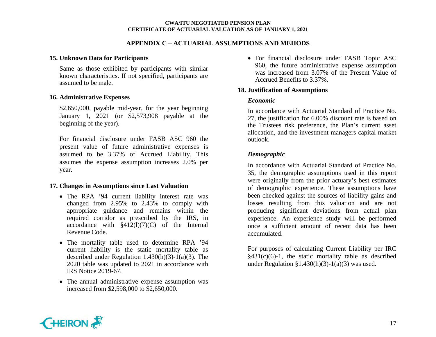## **APPENDIX C – ACTUARIAL ASSUMPTIONS AND MEHODS**

#### **15. Unknown Data for Participants**

Same as those exhibited by participants with similar known characteristics. If not specified, participants are assumed to be male.

#### **16. Administrative Expenses**

\$2,650,000, payable mid-year, for the year beginning January 1, 2021 (or \$2,573,908 payable at the beginning of the year).

For financial disclosure under FASB ASC 960 the present value of future administrative expenses is assumed to be 3.37% of Accrued Liability. This assumes the expense assumption increases 2.0% per year.

#### **17. Changes in Assumptions since Last Valuation**

- The RPA '94 current liability interest rate was changed from 2.95% to 2.43% to comply with appropriate guidance and remains within the required corridor as prescribed by the IRS, in accordance with  $\S 412(1)(7)(C)$  of the Internal Revenue Code.
- The mortality table used to determine RPA '94 current liability is the static mortality table as described under Regulation 1.430(h)(3)-1(a)(3). The 2020 table was updated to 2021 in accordance with IRS Notice 2019-67.
- The annual administrative expense assumption was increased from \$2,598,000 to \$2,650,000.

• For financial disclosure under FASB Topic ASC 960, the future administrative expense assumption was increased from 3.07% of the Present Value of Accrued Benefits to 3.37%.

### **18. Justification of Assumptions**

### *Economic*

In accordance with Actuarial Standard of Practice No. 27, the justification for 6.00% discount rate is based on the Trustees risk preference, the Plan's current asset allocation, and the investment managers capital market outlook.

## *Demographic*

In accordance with Actuarial Standard of Practice No. 35, the demographic assumptions used in this report were originally from the prior actuary's best estimates of demographic experience. These assumptions have been checked against the sources of liability gains and losses resulting from this valuation and are not producing significant deviations from actual plan experience. An experience study will be performed once a sufficient amount of recent data has been accumulated.

For purposes of calculating Current Liability per IRC  $§431(c)(6)-1$ , the static mortality table as described under Regulation  $\S1.430(h)(3)-1(a)(3)$  was used.